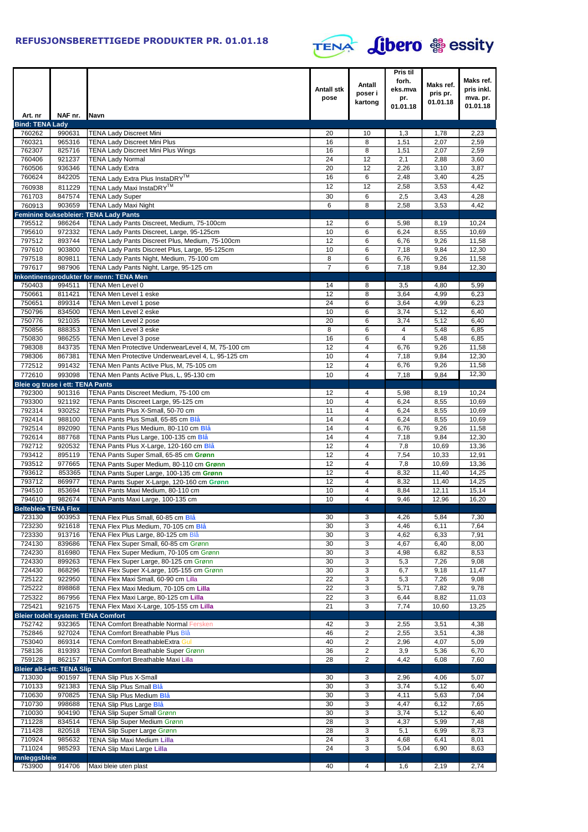

| <b>Bind: TENA Lady</b><br>760262<br>990631<br><b>TENA Lady Discreet Mini</b><br>1,3<br>2,23<br>20<br>10<br>1,78<br>760321<br>965316<br><b>TENA Lady Discreet Mini Plus</b><br>16<br>8<br>2,07<br>2,59<br>1,51<br>762307<br>825716<br><b>TENA Lady Discreet Mini Plus Wings</b><br>16<br>8<br>2,07<br>1,51<br>2,59<br>24<br>12<br>760406<br>921237<br><b>TENA Lady Normal</b><br>2,1<br>2,88<br>3,60<br>760506<br>936346<br><b>TENA Lady Extra</b><br>20<br>12<br>2,26<br>3,10<br>3,87<br>16<br>760624<br>842205<br>6<br>2,48<br>3,40<br>4,25<br>TENA Lady Extra Plus InstaDRY™<br>12<br>12<br>2,58<br>3,53<br>4,42<br>760938<br>811229<br>TENA Lady Maxi InstaDRY™<br>761703<br>847574<br><b>TENA Lady Super</b><br>30<br>6<br>2,5<br>4,28<br>3,43<br>903659<br><b>TENA Lady Maxi Night</b><br>6<br>8<br>2,58<br>3,53<br>4,42<br>760913<br>Feminine buksebleier: TENA Lady Pants<br>795512<br>TENA Lady Pants Discreet, Medium, 75-100cm<br>986264<br>12<br>6<br>5,98<br>8,19<br>10,24<br>10<br>795610<br>972332<br>TENA Lady Pants Discreet, Large, 95-125cm<br>6<br>6,24<br>10,69<br>8,55<br>797512<br>12<br>893744<br>TENA Lady Pants Discreet Plus, Medium, 75-100cm<br>6,76<br>6<br>9,26<br>11,58<br>10<br>797610<br>903800<br>TENA Lady Pants Discreet Plus, Large, 95-125cm<br>7,18<br>6<br>9,84<br>12,30<br>797518<br>809811<br>TENA Lady Pants Night, Medium, 75-100 cm<br>8<br>6<br>6,76<br>9,26<br>11,58<br>797617<br>987906<br>TENA Lady Pants Night, Large, 95-125 cm<br>$\overline{7}$<br>6<br>7,18<br>12,30<br>9,84<br>Inkontinensprodukter for menn: TENA Men<br>750403<br><b>TENA Men Level 0</b><br>994511<br>14<br>8<br>3,5<br>4,80<br>5,99<br>750661<br>12<br>811421<br>TENA Men Level 1 eske<br>8<br>3,64<br>4,99<br>6,23<br>24<br>750651<br>TENA Men Level 1 pose<br>6<br>3,64<br>6,23<br>899314<br>4,99<br>750796<br>10<br>834500<br>TENA Men Level 2 eske<br>6<br>3,74<br>5,12<br>6,40<br>750776<br>921035<br>TENA Men Level 2 pose<br>20<br>6<br>3,74<br>5,12<br>6,40<br>750856<br>888353<br>TENA Men Level 3 eske<br>8<br>6<br>5,48<br>6,85<br>4<br>750830<br>986255<br>TENA Men Level 3 pose<br>16<br>6,85<br>6<br>4<br>5,48<br>12<br>798308<br>843735<br>$\overline{4}$<br>9,26<br>11,58<br>TENA Men Protective UnderwearLevel 4, M, 75-100 cm<br>6,76<br>798306<br>867381<br>TENA Men Protective UnderwearLevel 4, L, 95-125 cm<br>10<br>$\overline{4}$<br>7,18<br>9,84<br>12,30<br>772512<br>6,76<br>9,26<br>991432<br>TENA Men Pants Active Plus, M, 75-105 cm<br>12<br>$\overline{4}$<br>11,58<br>12,30<br>772610<br>993098<br>TENA Men Pants Active Plus, L, 95-130 cm<br>10<br>$\overline{4}$<br>7,18<br>9,84<br>Bleie og truse i ett: TENA Pants<br>792300<br>901316<br>TENA Pants Discreet Medium, 75-100 cm<br>12<br>4<br>5,98<br>8,19<br>10,24<br>793300<br>10<br>$\overline{4}$<br>921192<br>TENA Pants Discreet Large, 95-125 cm<br>6,24<br>8,55<br>10,69<br>792314<br>TENA Pants Plus X-Small, 50-70 cm<br>930252<br>11<br>$\overline{4}$<br>8,55<br>10,69<br>6,24<br>792414<br>14<br>$\overline{4}$<br>988100<br>6,24<br>8,55<br>10,69<br>TENA Pants Plus Small, 65-85 cm Blå<br>792514<br>892090<br>TENA Pants Plus Medium, 80-110 cm Blå<br>14<br>4<br>6,76<br>9,26<br>11,58<br>14<br>792614<br>$\overline{4}$<br>9,84<br>887768<br>7,18<br>12,30<br>TENA Pants Plus Large, 100-135 cm Blå<br>792712<br>12<br>920532<br>TENA Pants Plus X-Large, 120-160 cm Blå<br>$\overline{4}$<br>7,8<br>10,69<br>13,36<br>793412<br>12<br>$\overline{4}$<br>12,91<br>895119<br>7,54<br>10,33<br>TENA Pants Super Small, 65-85 cm Grønn<br>793512<br>977665<br>12<br>$\overline{4}$<br>7,8<br>10,69<br>13,36<br>TENA Pants Super Medium, 80-110 cm Grønn<br>793612<br>12<br>$\overline{4}$<br>853365<br>TENA Pants Super Large, 100-135 cm Grønn<br>8,32<br>11,40<br>14,25<br>793712<br>869977<br>12<br>TENA Pants Super X-Large, 120-160 cm Grønn<br>$\overline{4}$<br>8,32<br>11,40<br>14,25<br>794510<br>10<br>$\overline{4}$<br>853694<br>TENA Pants Maxi Medium, 80-110 cm<br>12,11<br>15,14<br>8,84<br>10<br>794610<br>982674<br>TENA Pants Maxi Large, 100-135 cm<br>$\overline{\mathbf{4}}$<br>9,46<br>12,96<br>16,20<br><b>Beltebleie TFNA Flex</b><br>3<br>723130<br>903953<br>TENA Flex Plus Small, 60-85 cm Blå<br>30<br>4,26<br>5,84<br>7,30<br>723230<br>30<br>3<br>921618<br>4,46<br>6,11<br>7,64<br>TENA Flex Plus Medium, 70-105 cm Blå<br>TENA Flex Plus Large, 80-125 cm Blå<br>723330<br>913716<br>30<br>3<br>6,33<br>7,91<br>4,62<br>30<br>3<br>724130<br>839686<br>TENA Flex Super Small, 60-85 cm Grønn<br>4,67<br>6,40<br>8,00<br>724230<br>816980<br>TENA Flex Super Medium, 70-105 cm Grønn<br>30<br>3<br>4,98<br>6,82<br>8,53<br>724330<br>899263<br>TENA Flex Super Large, 80-125 cm Grønn<br>30<br>3<br>9,08<br>5,3<br>7,26<br>724430<br>868296<br>TENA Flex Super X-Large, 105-155 cm Grønn<br>30<br>3<br>6,7<br>9,18<br>11,47<br>725122<br>922950<br>22<br>3<br>TENA Flex Maxi Small, 60-90 cm Lilla<br>5,3<br>7,26<br>9,08<br>725222<br>22<br>3<br>898868<br>TENA Flex Maxi Medium, 70-105 cm Lilla<br>5,71<br>7,82<br>9,78<br>725322<br>22<br>3<br>867956<br>TENA Flex Maxi Large, 80-125 cm Lilla<br>6,44<br>8,82<br>11,03<br>725421<br>3<br>921675<br>TENA Flex Maxi X-Large, 105-155 cm Lilla<br>21<br>7,74<br>10,60<br>13,25<br><b>Bleier todelt system: TENA Comfort</b><br>752742<br><b>TENA Comfort Breathable Normal Fersken</b><br>932365<br>42<br>3<br>2,55<br>3,51<br>4,38<br>752846<br>2<br>927024<br>TENA Comfort Breathable Plus Blå<br>46<br>2,55<br>3,51<br>4,38<br>753040<br>869314<br>TENA Comfort BreathableExtra Gul<br>40<br>$\overline{2}$<br>2,96<br>4,07<br>5,09<br>758136<br>36<br>2<br>819393<br>TENA Comfort Breathable Super Grønn<br>3,9<br>5,36<br>6,70<br>759128<br>862157<br>TENA Comfort Breathable Maxi Lilla<br>28<br>2<br>4,42<br>6,08<br>7,60<br><b>Bleier alt-i-ett: TENA Slip</b><br>713030<br>901597<br>TENA Slip Plus X-Small<br>30<br>3<br>4,06<br>5,07<br>2,96<br>710133<br>30<br>3<br>921383<br>3,74<br>5,12<br>6,40<br><b>TENA Slip Plus Small Blå</b><br>710630<br>970825<br>TENA Slip Plus Medium Blå<br>30<br>3<br>4,11<br>5,63<br>7,04<br>710730<br>998688<br>30<br>3<br>TENA Slip Plus Large Blå<br>4,47<br>6,12<br>7,65<br>710030<br>904190<br><b>TENA Slip Super Small Grønn</b><br>30<br>3<br>3,74<br>5,12<br>6,40<br>711228<br>28<br>3<br>834514<br>TENA Slip Super Medium Grønn<br>4,37<br>5,99<br>7,48<br>711428<br>3<br>820518<br><b>TENA Slip Super Large Grønn</b><br>28<br>5,1<br>6,99<br>8,73<br>710924<br>24<br>3<br>985632<br><b>TENA Slip Maxi Medium Lilla</b><br>4,68<br>6,41<br>8,01<br>711024<br>24<br>3<br>985293<br><b>TENA Slip Maxi Large Lilla</b><br>5,04<br>6,90<br>8,63<br>Innleggsbleie<br>914706<br>Maxi bleie uten plast<br>753900<br>40<br>4<br>2,19<br>2,74<br>1,6 | Art. nr | NAF nr. | Navn | <b>Antall stk</b><br>pose | Antall<br>poser i<br>kartong | Pris til<br>forh.<br>eks.mva<br>pr.<br>01.01.18 | Maks ref.<br>pris pr.<br>01.01.18 | Maks ref.<br>pris inkl.<br>mva. pr.<br>01.01.18 |
|---------------------------------------------------------------------------------------------------------------------------------------------------------------------------------------------------------------------------------------------------------------------------------------------------------------------------------------------------------------------------------------------------------------------------------------------------------------------------------------------------------------------------------------------------------------------------------------------------------------------------------------------------------------------------------------------------------------------------------------------------------------------------------------------------------------------------------------------------------------------------------------------------------------------------------------------------------------------------------------------------------------------------------------------------------------------------------------------------------------------------------------------------------------------------------------------------------------------------------------------------------------------------------------------------------------------------------------------------------------------------------------------------------------------------------------------------------------------------------------------------------------------------------------------------------------------------------------------------------------------------------------------------------------------------------------------------------------------------------------------------------------------------------------------------------------------------------------------------------------------------------------------------------------------------------------------------------------------------------------------------------------------------------------------------------------------------------------------------------------------------------------------------------------------------------------------------------------------------------------------------------------------------------------------------------------------------------------------------------------------------------------------------------------------------------------------------------------------------------------------------------------------------------------------------------------------------------------------------------------------------------------------------------------------------------------------------------------------------------------------------------------------------------------------------------------------------------------------------------------------------------------------------------------------------------------------------------------------------------------------------------------------------------------------------------------------------------------------------------------------------------------------------------------------------------------------------------------------------------------------------------------------------------------------------------------------------------------------------------------------------------------------------------------------------------------------------------------------------------------------------------------------------------------------------------------------------------------------------------------------------------------------------------------------------------------------------------------------------------------------------------------------------------------------------------------------------------------------------------------------------------------------------------------------------------------------------------------------------------------------------------------------------------------------------------------------------------------------------------------------------------------------------------------------------------------------------------------------------------------------------------------------------------------------------------------------------------------------------------------------------------------------------------------------------------------------------------------------------------------------------------------------------------------------------------------------------------------------------------------------------------------------------------------------------------------------------------------------------------------------------------------------------------------------------------------------------------------------------------------------------------------------------------------------------------------------------------------------------------------------------------------------------------------------------------------------------------------------------------------------------------------------------------------------------------------------------------------------------------------------------------------------------------------------------------------------------------------------------------------------------------------------------------------------------------------------------------------------------------------------------------------------------------------------------------------------------------------------------------------------------------------------------------------------------------------------------------------------------------------------------------------------------------------------------------------------------------------------------------------------------------------------------------------------------------------------------------------------------------------------------------------------------------------------------------------------------------------------------------------------------------------------------------------------------------------------------------------------------------------------------------------------------------------------------------------------------------------------------------------------------------------------------------------------------------------------------------------------------------------------------------------------------------------------------------------------------------------------------------------------------------------------------------------------------------------------------------------------------------------------------------------------------------------------------------------------|---------|---------|------|---------------------------|------------------------------|-------------------------------------------------|-----------------------------------|-------------------------------------------------|
|                                                                                                                                                                                                                                                                                                                                                                                                                                                                                                                                                                                                                                                                                                                                                                                                                                                                                                                                                                                                                                                                                                                                                                                                                                                                                                                                                                                                                                                                                                                                                                                                                                                                                                                                                                                                                                                                                                                                                                                                                                                                                                                                                                                                                                                                                                                                                                                                                                                                                                                                                                                                                                                                                                                                                                                                                                                                                                                                                                                                                                                                                                                                                                                                                                                                                                                                                                                                                                                                                                                                                                                                                                                                                                                                                                                                                                                                                                                                                                                                                                                                                                                                                                                                                                                                                                                                                                                                                                                                                                                                                                                                                                                                                                                                                                                                                                                                                                                                                                                                                                                                                                                                                                                                                                                                                                                                                                                                                                                                                                                                                                                                                                                                                                                                                                                                                                                                                                                                                                                                                                                                                                                                                                                                                                                                                                                                                                                                                                                                                                                                                                                                                                                                                                                                                                                                                     |         |         |      |                           |                              |                                                 |                                   |                                                 |
|                                                                                                                                                                                                                                                                                                                                                                                                                                                                                                                                                                                                                                                                                                                                                                                                                                                                                                                                                                                                                                                                                                                                                                                                                                                                                                                                                                                                                                                                                                                                                                                                                                                                                                                                                                                                                                                                                                                                                                                                                                                                                                                                                                                                                                                                                                                                                                                                                                                                                                                                                                                                                                                                                                                                                                                                                                                                                                                                                                                                                                                                                                                                                                                                                                                                                                                                                                                                                                                                                                                                                                                                                                                                                                                                                                                                                                                                                                                                                                                                                                                                                                                                                                                                                                                                                                                                                                                                                                                                                                                                                                                                                                                                                                                                                                                                                                                                                                                                                                                                                                                                                                                                                                                                                                                                                                                                                                                                                                                                                                                                                                                                                                                                                                                                                                                                                                                                                                                                                                                                                                                                                                                                                                                                                                                                                                                                                                                                                                                                                                                                                                                                                                                                                                                                                                                                                     |         |         |      |                           |                              |                                                 |                                   |                                                 |
|                                                                                                                                                                                                                                                                                                                                                                                                                                                                                                                                                                                                                                                                                                                                                                                                                                                                                                                                                                                                                                                                                                                                                                                                                                                                                                                                                                                                                                                                                                                                                                                                                                                                                                                                                                                                                                                                                                                                                                                                                                                                                                                                                                                                                                                                                                                                                                                                                                                                                                                                                                                                                                                                                                                                                                                                                                                                                                                                                                                                                                                                                                                                                                                                                                                                                                                                                                                                                                                                                                                                                                                                                                                                                                                                                                                                                                                                                                                                                                                                                                                                                                                                                                                                                                                                                                                                                                                                                                                                                                                                                                                                                                                                                                                                                                                                                                                                                                                                                                                                                                                                                                                                                                                                                                                                                                                                                                                                                                                                                                                                                                                                                                                                                                                                                                                                                                                                                                                                                                                                                                                                                                                                                                                                                                                                                                                                                                                                                                                                                                                                                                                                                                                                                                                                                                                                                     |         |         |      |                           |                              |                                                 |                                   |                                                 |
|                                                                                                                                                                                                                                                                                                                                                                                                                                                                                                                                                                                                                                                                                                                                                                                                                                                                                                                                                                                                                                                                                                                                                                                                                                                                                                                                                                                                                                                                                                                                                                                                                                                                                                                                                                                                                                                                                                                                                                                                                                                                                                                                                                                                                                                                                                                                                                                                                                                                                                                                                                                                                                                                                                                                                                                                                                                                                                                                                                                                                                                                                                                                                                                                                                                                                                                                                                                                                                                                                                                                                                                                                                                                                                                                                                                                                                                                                                                                                                                                                                                                                                                                                                                                                                                                                                                                                                                                                                                                                                                                                                                                                                                                                                                                                                                                                                                                                                                                                                                                                                                                                                                                                                                                                                                                                                                                                                                                                                                                                                                                                                                                                                                                                                                                                                                                                                                                                                                                                                                                                                                                                                                                                                                                                                                                                                                                                                                                                                                                                                                                                                                                                                                                                                                                                                                                                     |         |         |      |                           |                              |                                                 |                                   |                                                 |
|                                                                                                                                                                                                                                                                                                                                                                                                                                                                                                                                                                                                                                                                                                                                                                                                                                                                                                                                                                                                                                                                                                                                                                                                                                                                                                                                                                                                                                                                                                                                                                                                                                                                                                                                                                                                                                                                                                                                                                                                                                                                                                                                                                                                                                                                                                                                                                                                                                                                                                                                                                                                                                                                                                                                                                                                                                                                                                                                                                                                                                                                                                                                                                                                                                                                                                                                                                                                                                                                                                                                                                                                                                                                                                                                                                                                                                                                                                                                                                                                                                                                                                                                                                                                                                                                                                                                                                                                                                                                                                                                                                                                                                                                                                                                                                                                                                                                                                                                                                                                                                                                                                                                                                                                                                                                                                                                                                                                                                                                                                                                                                                                                                                                                                                                                                                                                                                                                                                                                                                                                                                                                                                                                                                                                                                                                                                                                                                                                                                                                                                                                                                                                                                                                                                                                                                                                     |         |         |      |                           |                              |                                                 |                                   |                                                 |
|                                                                                                                                                                                                                                                                                                                                                                                                                                                                                                                                                                                                                                                                                                                                                                                                                                                                                                                                                                                                                                                                                                                                                                                                                                                                                                                                                                                                                                                                                                                                                                                                                                                                                                                                                                                                                                                                                                                                                                                                                                                                                                                                                                                                                                                                                                                                                                                                                                                                                                                                                                                                                                                                                                                                                                                                                                                                                                                                                                                                                                                                                                                                                                                                                                                                                                                                                                                                                                                                                                                                                                                                                                                                                                                                                                                                                                                                                                                                                                                                                                                                                                                                                                                                                                                                                                                                                                                                                                                                                                                                                                                                                                                                                                                                                                                                                                                                                                                                                                                                                                                                                                                                                                                                                                                                                                                                                                                                                                                                                                                                                                                                                                                                                                                                                                                                                                                                                                                                                                                                                                                                                                                                                                                                                                                                                                                                                                                                                                                                                                                                                                                                                                                                                                                                                                                                                     |         |         |      |                           |                              |                                                 |                                   |                                                 |
|                                                                                                                                                                                                                                                                                                                                                                                                                                                                                                                                                                                                                                                                                                                                                                                                                                                                                                                                                                                                                                                                                                                                                                                                                                                                                                                                                                                                                                                                                                                                                                                                                                                                                                                                                                                                                                                                                                                                                                                                                                                                                                                                                                                                                                                                                                                                                                                                                                                                                                                                                                                                                                                                                                                                                                                                                                                                                                                                                                                                                                                                                                                                                                                                                                                                                                                                                                                                                                                                                                                                                                                                                                                                                                                                                                                                                                                                                                                                                                                                                                                                                                                                                                                                                                                                                                                                                                                                                                                                                                                                                                                                                                                                                                                                                                                                                                                                                                                                                                                                                                                                                                                                                                                                                                                                                                                                                                                                                                                                                                                                                                                                                                                                                                                                                                                                                                                                                                                                                                                                                                                                                                                                                                                                                                                                                                                                                                                                                                                                                                                                                                                                                                                                                                                                                                                                                     |         |         |      |                           |                              |                                                 |                                   |                                                 |
|                                                                                                                                                                                                                                                                                                                                                                                                                                                                                                                                                                                                                                                                                                                                                                                                                                                                                                                                                                                                                                                                                                                                                                                                                                                                                                                                                                                                                                                                                                                                                                                                                                                                                                                                                                                                                                                                                                                                                                                                                                                                                                                                                                                                                                                                                                                                                                                                                                                                                                                                                                                                                                                                                                                                                                                                                                                                                                                                                                                                                                                                                                                                                                                                                                                                                                                                                                                                                                                                                                                                                                                                                                                                                                                                                                                                                                                                                                                                                                                                                                                                                                                                                                                                                                                                                                                                                                                                                                                                                                                                                                                                                                                                                                                                                                                                                                                                                                                                                                                                                                                                                                                                                                                                                                                                                                                                                                                                                                                                                                                                                                                                                                                                                                                                                                                                                                                                                                                                                                                                                                                                                                                                                                                                                                                                                                                                                                                                                                                                                                                                                                                                                                                                                                                                                                                                                     |         |         |      |                           |                              |                                                 |                                   |                                                 |
|                                                                                                                                                                                                                                                                                                                                                                                                                                                                                                                                                                                                                                                                                                                                                                                                                                                                                                                                                                                                                                                                                                                                                                                                                                                                                                                                                                                                                                                                                                                                                                                                                                                                                                                                                                                                                                                                                                                                                                                                                                                                                                                                                                                                                                                                                                                                                                                                                                                                                                                                                                                                                                                                                                                                                                                                                                                                                                                                                                                                                                                                                                                                                                                                                                                                                                                                                                                                                                                                                                                                                                                                                                                                                                                                                                                                                                                                                                                                                                                                                                                                                                                                                                                                                                                                                                                                                                                                                                                                                                                                                                                                                                                                                                                                                                                                                                                                                                                                                                                                                                                                                                                                                                                                                                                                                                                                                                                                                                                                                                                                                                                                                                                                                                                                                                                                                                                                                                                                                                                                                                                                                                                                                                                                                                                                                                                                                                                                                                                                                                                                                                                                                                                                                                                                                                                                                     |         |         |      |                           |                              |                                                 |                                   |                                                 |
|                                                                                                                                                                                                                                                                                                                                                                                                                                                                                                                                                                                                                                                                                                                                                                                                                                                                                                                                                                                                                                                                                                                                                                                                                                                                                                                                                                                                                                                                                                                                                                                                                                                                                                                                                                                                                                                                                                                                                                                                                                                                                                                                                                                                                                                                                                                                                                                                                                                                                                                                                                                                                                                                                                                                                                                                                                                                                                                                                                                                                                                                                                                                                                                                                                                                                                                                                                                                                                                                                                                                                                                                                                                                                                                                                                                                                                                                                                                                                                                                                                                                                                                                                                                                                                                                                                                                                                                                                                                                                                                                                                                                                                                                                                                                                                                                                                                                                                                                                                                                                                                                                                                                                                                                                                                                                                                                                                                                                                                                                                                                                                                                                                                                                                                                                                                                                                                                                                                                                                                                                                                                                                                                                                                                                                                                                                                                                                                                                                                                                                                                                                                                                                                                                                                                                                                                                     |         |         |      |                           |                              |                                                 |                                   |                                                 |
|                                                                                                                                                                                                                                                                                                                                                                                                                                                                                                                                                                                                                                                                                                                                                                                                                                                                                                                                                                                                                                                                                                                                                                                                                                                                                                                                                                                                                                                                                                                                                                                                                                                                                                                                                                                                                                                                                                                                                                                                                                                                                                                                                                                                                                                                                                                                                                                                                                                                                                                                                                                                                                                                                                                                                                                                                                                                                                                                                                                                                                                                                                                                                                                                                                                                                                                                                                                                                                                                                                                                                                                                                                                                                                                                                                                                                                                                                                                                                                                                                                                                                                                                                                                                                                                                                                                                                                                                                                                                                                                                                                                                                                                                                                                                                                                                                                                                                                                                                                                                                                                                                                                                                                                                                                                                                                                                                                                                                                                                                                                                                                                                                                                                                                                                                                                                                                                                                                                                                                                                                                                                                                                                                                                                                                                                                                                                                                                                                                                                                                                                                                                                                                                                                                                                                                                                                     |         |         |      |                           |                              |                                                 |                                   |                                                 |
|                                                                                                                                                                                                                                                                                                                                                                                                                                                                                                                                                                                                                                                                                                                                                                                                                                                                                                                                                                                                                                                                                                                                                                                                                                                                                                                                                                                                                                                                                                                                                                                                                                                                                                                                                                                                                                                                                                                                                                                                                                                                                                                                                                                                                                                                                                                                                                                                                                                                                                                                                                                                                                                                                                                                                                                                                                                                                                                                                                                                                                                                                                                                                                                                                                                                                                                                                                                                                                                                                                                                                                                                                                                                                                                                                                                                                                                                                                                                                                                                                                                                                                                                                                                                                                                                                                                                                                                                                                                                                                                                                                                                                                                                                                                                                                                                                                                                                                                                                                                                                                                                                                                                                                                                                                                                                                                                                                                                                                                                                                                                                                                                                                                                                                                                                                                                                                                                                                                                                                                                                                                                                                                                                                                                                                                                                                                                                                                                                                                                                                                                                                                                                                                                                                                                                                                                                     |         |         |      |                           |                              |                                                 |                                   |                                                 |
|                                                                                                                                                                                                                                                                                                                                                                                                                                                                                                                                                                                                                                                                                                                                                                                                                                                                                                                                                                                                                                                                                                                                                                                                                                                                                                                                                                                                                                                                                                                                                                                                                                                                                                                                                                                                                                                                                                                                                                                                                                                                                                                                                                                                                                                                                                                                                                                                                                                                                                                                                                                                                                                                                                                                                                                                                                                                                                                                                                                                                                                                                                                                                                                                                                                                                                                                                                                                                                                                                                                                                                                                                                                                                                                                                                                                                                                                                                                                                                                                                                                                                                                                                                                                                                                                                                                                                                                                                                                                                                                                                                                                                                                                                                                                                                                                                                                                                                                                                                                                                                                                                                                                                                                                                                                                                                                                                                                                                                                                                                                                                                                                                                                                                                                                                                                                                                                                                                                                                                                                                                                                                                                                                                                                                                                                                                                                                                                                                                                                                                                                                                                                                                                                                                                                                                                                                     |         |         |      |                           |                              |                                                 |                                   |                                                 |
|                                                                                                                                                                                                                                                                                                                                                                                                                                                                                                                                                                                                                                                                                                                                                                                                                                                                                                                                                                                                                                                                                                                                                                                                                                                                                                                                                                                                                                                                                                                                                                                                                                                                                                                                                                                                                                                                                                                                                                                                                                                                                                                                                                                                                                                                                                                                                                                                                                                                                                                                                                                                                                                                                                                                                                                                                                                                                                                                                                                                                                                                                                                                                                                                                                                                                                                                                                                                                                                                                                                                                                                                                                                                                                                                                                                                                                                                                                                                                                                                                                                                                                                                                                                                                                                                                                                                                                                                                                                                                                                                                                                                                                                                                                                                                                                                                                                                                                                                                                                                                                                                                                                                                                                                                                                                                                                                                                                                                                                                                                                                                                                                                                                                                                                                                                                                                                                                                                                                                                                                                                                                                                                                                                                                                                                                                                                                                                                                                                                                                                                                                                                                                                                                                                                                                                                                                     |         |         |      |                           |                              |                                                 |                                   |                                                 |
|                                                                                                                                                                                                                                                                                                                                                                                                                                                                                                                                                                                                                                                                                                                                                                                                                                                                                                                                                                                                                                                                                                                                                                                                                                                                                                                                                                                                                                                                                                                                                                                                                                                                                                                                                                                                                                                                                                                                                                                                                                                                                                                                                                                                                                                                                                                                                                                                                                                                                                                                                                                                                                                                                                                                                                                                                                                                                                                                                                                                                                                                                                                                                                                                                                                                                                                                                                                                                                                                                                                                                                                                                                                                                                                                                                                                                                                                                                                                                                                                                                                                                                                                                                                                                                                                                                                                                                                                                                                                                                                                                                                                                                                                                                                                                                                                                                                                                                                                                                                                                                                                                                                                                                                                                                                                                                                                                                                                                                                                                                                                                                                                                                                                                                                                                                                                                                                                                                                                                                                                                                                                                                                                                                                                                                                                                                                                                                                                                                                                                                                                                                                                                                                                                                                                                                                                                     |         |         |      |                           |                              |                                                 |                                   |                                                 |
|                                                                                                                                                                                                                                                                                                                                                                                                                                                                                                                                                                                                                                                                                                                                                                                                                                                                                                                                                                                                                                                                                                                                                                                                                                                                                                                                                                                                                                                                                                                                                                                                                                                                                                                                                                                                                                                                                                                                                                                                                                                                                                                                                                                                                                                                                                                                                                                                                                                                                                                                                                                                                                                                                                                                                                                                                                                                                                                                                                                                                                                                                                                                                                                                                                                                                                                                                                                                                                                                                                                                                                                                                                                                                                                                                                                                                                                                                                                                                                                                                                                                                                                                                                                                                                                                                                                                                                                                                                                                                                                                                                                                                                                                                                                                                                                                                                                                                                                                                                                                                                                                                                                                                                                                                                                                                                                                                                                                                                                                                                                                                                                                                                                                                                                                                                                                                                                                                                                                                                                                                                                                                                                                                                                                                                                                                                                                                                                                                                                                                                                                                                                                                                                                                                                                                                                                                     |         |         |      |                           |                              |                                                 |                                   |                                                 |
|                                                                                                                                                                                                                                                                                                                                                                                                                                                                                                                                                                                                                                                                                                                                                                                                                                                                                                                                                                                                                                                                                                                                                                                                                                                                                                                                                                                                                                                                                                                                                                                                                                                                                                                                                                                                                                                                                                                                                                                                                                                                                                                                                                                                                                                                                                                                                                                                                                                                                                                                                                                                                                                                                                                                                                                                                                                                                                                                                                                                                                                                                                                                                                                                                                                                                                                                                                                                                                                                                                                                                                                                                                                                                                                                                                                                                                                                                                                                                                                                                                                                                                                                                                                                                                                                                                                                                                                                                                                                                                                                                                                                                                                                                                                                                                                                                                                                                                                                                                                                                                                                                                                                                                                                                                                                                                                                                                                                                                                                                                                                                                                                                                                                                                                                                                                                                                                                                                                                                                                                                                                                                                                                                                                                                                                                                                                                                                                                                                                                                                                                                                                                                                                                                                                                                                                                                     |         |         |      |                           |                              |                                                 |                                   |                                                 |
|                                                                                                                                                                                                                                                                                                                                                                                                                                                                                                                                                                                                                                                                                                                                                                                                                                                                                                                                                                                                                                                                                                                                                                                                                                                                                                                                                                                                                                                                                                                                                                                                                                                                                                                                                                                                                                                                                                                                                                                                                                                                                                                                                                                                                                                                                                                                                                                                                                                                                                                                                                                                                                                                                                                                                                                                                                                                                                                                                                                                                                                                                                                                                                                                                                                                                                                                                                                                                                                                                                                                                                                                                                                                                                                                                                                                                                                                                                                                                                                                                                                                                                                                                                                                                                                                                                                                                                                                                                                                                                                                                                                                                                                                                                                                                                                                                                                                                                                                                                                                                                                                                                                                                                                                                                                                                                                                                                                                                                                                                                                                                                                                                                                                                                                                                                                                                                                                                                                                                                                                                                                                                                                                                                                                                                                                                                                                                                                                                                                                                                                                                                                                                                                                                                                                                                                                                     |         |         |      |                           |                              |                                                 |                                   |                                                 |
|                                                                                                                                                                                                                                                                                                                                                                                                                                                                                                                                                                                                                                                                                                                                                                                                                                                                                                                                                                                                                                                                                                                                                                                                                                                                                                                                                                                                                                                                                                                                                                                                                                                                                                                                                                                                                                                                                                                                                                                                                                                                                                                                                                                                                                                                                                                                                                                                                                                                                                                                                                                                                                                                                                                                                                                                                                                                                                                                                                                                                                                                                                                                                                                                                                                                                                                                                                                                                                                                                                                                                                                                                                                                                                                                                                                                                                                                                                                                                                                                                                                                                                                                                                                                                                                                                                                                                                                                                                                                                                                                                                                                                                                                                                                                                                                                                                                                                                                                                                                                                                                                                                                                                                                                                                                                                                                                                                                                                                                                                                                                                                                                                                                                                                                                                                                                                                                                                                                                                                                                                                                                                                                                                                                                                                                                                                                                                                                                                                                                                                                                                                                                                                                                                                                                                                                                                     |         |         |      |                           |                              |                                                 |                                   |                                                 |
|                                                                                                                                                                                                                                                                                                                                                                                                                                                                                                                                                                                                                                                                                                                                                                                                                                                                                                                                                                                                                                                                                                                                                                                                                                                                                                                                                                                                                                                                                                                                                                                                                                                                                                                                                                                                                                                                                                                                                                                                                                                                                                                                                                                                                                                                                                                                                                                                                                                                                                                                                                                                                                                                                                                                                                                                                                                                                                                                                                                                                                                                                                                                                                                                                                                                                                                                                                                                                                                                                                                                                                                                                                                                                                                                                                                                                                                                                                                                                                                                                                                                                                                                                                                                                                                                                                                                                                                                                                                                                                                                                                                                                                                                                                                                                                                                                                                                                                                                                                                                                                                                                                                                                                                                                                                                                                                                                                                                                                                                                                                                                                                                                                                                                                                                                                                                                                                                                                                                                                                                                                                                                                                                                                                                                                                                                                                                                                                                                                                                                                                                                                                                                                                                                                                                                                                                                     |         |         |      |                           |                              |                                                 |                                   |                                                 |
|                                                                                                                                                                                                                                                                                                                                                                                                                                                                                                                                                                                                                                                                                                                                                                                                                                                                                                                                                                                                                                                                                                                                                                                                                                                                                                                                                                                                                                                                                                                                                                                                                                                                                                                                                                                                                                                                                                                                                                                                                                                                                                                                                                                                                                                                                                                                                                                                                                                                                                                                                                                                                                                                                                                                                                                                                                                                                                                                                                                                                                                                                                                                                                                                                                                                                                                                                                                                                                                                                                                                                                                                                                                                                                                                                                                                                                                                                                                                                                                                                                                                                                                                                                                                                                                                                                                                                                                                                                                                                                                                                                                                                                                                                                                                                                                                                                                                                                                                                                                                                                                                                                                                                                                                                                                                                                                                                                                                                                                                                                                                                                                                                                                                                                                                                                                                                                                                                                                                                                                                                                                                                                                                                                                                                                                                                                                                                                                                                                                                                                                                                                                                                                                                                                                                                                                                                     |         |         |      |                           |                              |                                                 |                                   |                                                 |
|                                                                                                                                                                                                                                                                                                                                                                                                                                                                                                                                                                                                                                                                                                                                                                                                                                                                                                                                                                                                                                                                                                                                                                                                                                                                                                                                                                                                                                                                                                                                                                                                                                                                                                                                                                                                                                                                                                                                                                                                                                                                                                                                                                                                                                                                                                                                                                                                                                                                                                                                                                                                                                                                                                                                                                                                                                                                                                                                                                                                                                                                                                                                                                                                                                                                                                                                                                                                                                                                                                                                                                                                                                                                                                                                                                                                                                                                                                                                                                                                                                                                                                                                                                                                                                                                                                                                                                                                                                                                                                                                                                                                                                                                                                                                                                                                                                                                                                                                                                                                                                                                                                                                                                                                                                                                                                                                                                                                                                                                                                                                                                                                                                                                                                                                                                                                                                                                                                                                                                                                                                                                                                                                                                                                                                                                                                                                                                                                                                                                                                                                                                                                                                                                                                                                                                                                                     |         |         |      |                           |                              |                                                 |                                   |                                                 |
|                                                                                                                                                                                                                                                                                                                                                                                                                                                                                                                                                                                                                                                                                                                                                                                                                                                                                                                                                                                                                                                                                                                                                                                                                                                                                                                                                                                                                                                                                                                                                                                                                                                                                                                                                                                                                                                                                                                                                                                                                                                                                                                                                                                                                                                                                                                                                                                                                                                                                                                                                                                                                                                                                                                                                                                                                                                                                                                                                                                                                                                                                                                                                                                                                                                                                                                                                                                                                                                                                                                                                                                                                                                                                                                                                                                                                                                                                                                                                                                                                                                                                                                                                                                                                                                                                                                                                                                                                                                                                                                                                                                                                                                                                                                                                                                                                                                                                                                                                                                                                                                                                                                                                                                                                                                                                                                                                                                                                                                                                                                                                                                                                                                                                                                                                                                                                                                                                                                                                                                                                                                                                                                                                                                                                                                                                                                                                                                                                                                                                                                                                                                                                                                                                                                                                                                                                     |         |         |      |                           |                              |                                                 |                                   |                                                 |
|                                                                                                                                                                                                                                                                                                                                                                                                                                                                                                                                                                                                                                                                                                                                                                                                                                                                                                                                                                                                                                                                                                                                                                                                                                                                                                                                                                                                                                                                                                                                                                                                                                                                                                                                                                                                                                                                                                                                                                                                                                                                                                                                                                                                                                                                                                                                                                                                                                                                                                                                                                                                                                                                                                                                                                                                                                                                                                                                                                                                                                                                                                                                                                                                                                                                                                                                                                                                                                                                                                                                                                                                                                                                                                                                                                                                                                                                                                                                                                                                                                                                                                                                                                                                                                                                                                                                                                                                                                                                                                                                                                                                                                                                                                                                                                                                                                                                                                                                                                                                                                                                                                                                                                                                                                                                                                                                                                                                                                                                                                                                                                                                                                                                                                                                                                                                                                                                                                                                                                                                                                                                                                                                                                                                                                                                                                                                                                                                                                                                                                                                                                                                                                                                                                                                                                                                                     |         |         |      |                           |                              |                                                 |                                   |                                                 |
|                                                                                                                                                                                                                                                                                                                                                                                                                                                                                                                                                                                                                                                                                                                                                                                                                                                                                                                                                                                                                                                                                                                                                                                                                                                                                                                                                                                                                                                                                                                                                                                                                                                                                                                                                                                                                                                                                                                                                                                                                                                                                                                                                                                                                                                                                                                                                                                                                                                                                                                                                                                                                                                                                                                                                                                                                                                                                                                                                                                                                                                                                                                                                                                                                                                                                                                                                                                                                                                                                                                                                                                                                                                                                                                                                                                                                                                                                                                                                                                                                                                                                                                                                                                                                                                                                                                                                                                                                                                                                                                                                                                                                                                                                                                                                                                                                                                                                                                                                                                                                                                                                                                                                                                                                                                                                                                                                                                                                                                                                                                                                                                                                                                                                                                                                                                                                                                                                                                                                                                                                                                                                                                                                                                                                                                                                                                                                                                                                                                                                                                                                                                                                                                                                                                                                                                                                     |         |         |      |                           |                              |                                                 |                                   |                                                 |
|                                                                                                                                                                                                                                                                                                                                                                                                                                                                                                                                                                                                                                                                                                                                                                                                                                                                                                                                                                                                                                                                                                                                                                                                                                                                                                                                                                                                                                                                                                                                                                                                                                                                                                                                                                                                                                                                                                                                                                                                                                                                                                                                                                                                                                                                                                                                                                                                                                                                                                                                                                                                                                                                                                                                                                                                                                                                                                                                                                                                                                                                                                                                                                                                                                                                                                                                                                                                                                                                                                                                                                                                                                                                                                                                                                                                                                                                                                                                                                                                                                                                                                                                                                                                                                                                                                                                                                                                                                                                                                                                                                                                                                                                                                                                                                                                                                                                                                                                                                                                                                                                                                                                                                                                                                                                                                                                                                                                                                                                                                                                                                                                                                                                                                                                                                                                                                                                                                                                                                                                                                                                                                                                                                                                                                                                                                                                                                                                                                                                                                                                                                                                                                                                                                                                                                                                                     |         |         |      |                           |                              |                                                 |                                   |                                                 |
|                                                                                                                                                                                                                                                                                                                                                                                                                                                                                                                                                                                                                                                                                                                                                                                                                                                                                                                                                                                                                                                                                                                                                                                                                                                                                                                                                                                                                                                                                                                                                                                                                                                                                                                                                                                                                                                                                                                                                                                                                                                                                                                                                                                                                                                                                                                                                                                                                                                                                                                                                                                                                                                                                                                                                                                                                                                                                                                                                                                                                                                                                                                                                                                                                                                                                                                                                                                                                                                                                                                                                                                                                                                                                                                                                                                                                                                                                                                                                                                                                                                                                                                                                                                                                                                                                                                                                                                                                                                                                                                                                                                                                                                                                                                                                                                                                                                                                                                                                                                                                                                                                                                                                                                                                                                                                                                                                                                                                                                                                                                                                                                                                                                                                                                                                                                                                                                                                                                                                                                                                                                                                                                                                                                                                                                                                                                                                                                                                                                                                                                                                                                                                                                                                                                                                                                                                     |         |         |      |                           |                              |                                                 |                                   |                                                 |
|                                                                                                                                                                                                                                                                                                                                                                                                                                                                                                                                                                                                                                                                                                                                                                                                                                                                                                                                                                                                                                                                                                                                                                                                                                                                                                                                                                                                                                                                                                                                                                                                                                                                                                                                                                                                                                                                                                                                                                                                                                                                                                                                                                                                                                                                                                                                                                                                                                                                                                                                                                                                                                                                                                                                                                                                                                                                                                                                                                                                                                                                                                                                                                                                                                                                                                                                                                                                                                                                                                                                                                                                                                                                                                                                                                                                                                                                                                                                                                                                                                                                                                                                                                                                                                                                                                                                                                                                                                                                                                                                                                                                                                                                                                                                                                                                                                                                                                                                                                                                                                                                                                                                                                                                                                                                                                                                                                                                                                                                                                                                                                                                                                                                                                                                                                                                                                                                                                                                                                                                                                                                                                                                                                                                                                                                                                                                                                                                                                                                                                                                                                                                                                                                                                                                                                                                                     |         |         |      |                           |                              |                                                 |                                   |                                                 |
|                                                                                                                                                                                                                                                                                                                                                                                                                                                                                                                                                                                                                                                                                                                                                                                                                                                                                                                                                                                                                                                                                                                                                                                                                                                                                                                                                                                                                                                                                                                                                                                                                                                                                                                                                                                                                                                                                                                                                                                                                                                                                                                                                                                                                                                                                                                                                                                                                                                                                                                                                                                                                                                                                                                                                                                                                                                                                                                                                                                                                                                                                                                                                                                                                                                                                                                                                                                                                                                                                                                                                                                                                                                                                                                                                                                                                                                                                                                                                                                                                                                                                                                                                                                                                                                                                                                                                                                                                                                                                                                                                                                                                                                                                                                                                                                                                                                                                                                                                                                                                                                                                                                                                                                                                                                                                                                                                                                                                                                                                                                                                                                                                                                                                                                                                                                                                                                                                                                                                                                                                                                                                                                                                                                                                                                                                                                                                                                                                                                                                                                                                                                                                                                                                                                                                                                                                     |         |         |      |                           |                              |                                                 |                                   |                                                 |
|                                                                                                                                                                                                                                                                                                                                                                                                                                                                                                                                                                                                                                                                                                                                                                                                                                                                                                                                                                                                                                                                                                                                                                                                                                                                                                                                                                                                                                                                                                                                                                                                                                                                                                                                                                                                                                                                                                                                                                                                                                                                                                                                                                                                                                                                                                                                                                                                                                                                                                                                                                                                                                                                                                                                                                                                                                                                                                                                                                                                                                                                                                                                                                                                                                                                                                                                                                                                                                                                                                                                                                                                                                                                                                                                                                                                                                                                                                                                                                                                                                                                                                                                                                                                                                                                                                                                                                                                                                                                                                                                                                                                                                                                                                                                                                                                                                                                                                                                                                                                                                                                                                                                                                                                                                                                                                                                                                                                                                                                                                                                                                                                                                                                                                                                                                                                                                                                                                                                                                                                                                                                                                                                                                                                                                                                                                                                                                                                                                                                                                                                                                                                                                                                                                                                                                                                                     |         |         |      |                           |                              |                                                 |                                   |                                                 |
|                                                                                                                                                                                                                                                                                                                                                                                                                                                                                                                                                                                                                                                                                                                                                                                                                                                                                                                                                                                                                                                                                                                                                                                                                                                                                                                                                                                                                                                                                                                                                                                                                                                                                                                                                                                                                                                                                                                                                                                                                                                                                                                                                                                                                                                                                                                                                                                                                                                                                                                                                                                                                                                                                                                                                                                                                                                                                                                                                                                                                                                                                                                                                                                                                                                                                                                                                                                                                                                                                                                                                                                                                                                                                                                                                                                                                                                                                                                                                                                                                                                                                                                                                                                                                                                                                                                                                                                                                                                                                                                                                                                                                                                                                                                                                                                                                                                                                                                                                                                                                                                                                                                                                                                                                                                                                                                                                                                                                                                                                                                                                                                                                                                                                                                                                                                                                                                                                                                                                                                                                                                                                                                                                                                                                                                                                                                                                                                                                                                                                                                                                                                                                                                                                                                                                                                                                     |         |         |      |                           |                              |                                                 |                                   |                                                 |
|                                                                                                                                                                                                                                                                                                                                                                                                                                                                                                                                                                                                                                                                                                                                                                                                                                                                                                                                                                                                                                                                                                                                                                                                                                                                                                                                                                                                                                                                                                                                                                                                                                                                                                                                                                                                                                                                                                                                                                                                                                                                                                                                                                                                                                                                                                                                                                                                                                                                                                                                                                                                                                                                                                                                                                                                                                                                                                                                                                                                                                                                                                                                                                                                                                                                                                                                                                                                                                                                                                                                                                                                                                                                                                                                                                                                                                                                                                                                                                                                                                                                                                                                                                                                                                                                                                                                                                                                                                                                                                                                                                                                                                                                                                                                                                                                                                                                                                                                                                                                                                                                                                                                                                                                                                                                                                                                                                                                                                                                                                                                                                                                                                                                                                                                                                                                                                                                                                                                                                                                                                                                                                                                                                                                                                                                                                                                                                                                                                                                                                                                                                                                                                                                                                                                                                                                                     |         |         |      |                           |                              |                                                 |                                   |                                                 |
|                                                                                                                                                                                                                                                                                                                                                                                                                                                                                                                                                                                                                                                                                                                                                                                                                                                                                                                                                                                                                                                                                                                                                                                                                                                                                                                                                                                                                                                                                                                                                                                                                                                                                                                                                                                                                                                                                                                                                                                                                                                                                                                                                                                                                                                                                                                                                                                                                                                                                                                                                                                                                                                                                                                                                                                                                                                                                                                                                                                                                                                                                                                                                                                                                                                                                                                                                                                                                                                                                                                                                                                                                                                                                                                                                                                                                                                                                                                                                                                                                                                                                                                                                                                                                                                                                                                                                                                                                                                                                                                                                                                                                                                                                                                                                                                                                                                                                                                                                                                                                                                                                                                                                                                                                                                                                                                                                                                                                                                                                                                                                                                                                                                                                                                                                                                                                                                                                                                                                                                                                                                                                                                                                                                                                                                                                                                                                                                                                                                                                                                                                                                                                                                                                                                                                                                                                     |         |         |      |                           |                              |                                                 |                                   |                                                 |
|                                                                                                                                                                                                                                                                                                                                                                                                                                                                                                                                                                                                                                                                                                                                                                                                                                                                                                                                                                                                                                                                                                                                                                                                                                                                                                                                                                                                                                                                                                                                                                                                                                                                                                                                                                                                                                                                                                                                                                                                                                                                                                                                                                                                                                                                                                                                                                                                                                                                                                                                                                                                                                                                                                                                                                                                                                                                                                                                                                                                                                                                                                                                                                                                                                                                                                                                                                                                                                                                                                                                                                                                                                                                                                                                                                                                                                                                                                                                                                                                                                                                                                                                                                                                                                                                                                                                                                                                                                                                                                                                                                                                                                                                                                                                                                                                                                                                                                                                                                                                                                                                                                                                                                                                                                                                                                                                                                                                                                                                                                                                                                                                                                                                                                                                                                                                                                                                                                                                                                                                                                                                                                                                                                                                                                                                                                                                                                                                                                                                                                                                                                                                                                                                                                                                                                                                                     |         |         |      |                           |                              |                                                 |                                   |                                                 |
|                                                                                                                                                                                                                                                                                                                                                                                                                                                                                                                                                                                                                                                                                                                                                                                                                                                                                                                                                                                                                                                                                                                                                                                                                                                                                                                                                                                                                                                                                                                                                                                                                                                                                                                                                                                                                                                                                                                                                                                                                                                                                                                                                                                                                                                                                                                                                                                                                                                                                                                                                                                                                                                                                                                                                                                                                                                                                                                                                                                                                                                                                                                                                                                                                                                                                                                                                                                                                                                                                                                                                                                                                                                                                                                                                                                                                                                                                                                                                                                                                                                                                                                                                                                                                                                                                                                                                                                                                                                                                                                                                                                                                                                                                                                                                                                                                                                                                                                                                                                                                                                                                                                                                                                                                                                                                                                                                                                                                                                                                                                                                                                                                                                                                                                                                                                                                                                                                                                                                                                                                                                                                                                                                                                                                                                                                                                                                                                                                                                                                                                                                                                                                                                                                                                                                                                                                     |         |         |      |                           |                              |                                                 |                                   |                                                 |
|                                                                                                                                                                                                                                                                                                                                                                                                                                                                                                                                                                                                                                                                                                                                                                                                                                                                                                                                                                                                                                                                                                                                                                                                                                                                                                                                                                                                                                                                                                                                                                                                                                                                                                                                                                                                                                                                                                                                                                                                                                                                                                                                                                                                                                                                                                                                                                                                                                                                                                                                                                                                                                                                                                                                                                                                                                                                                                                                                                                                                                                                                                                                                                                                                                                                                                                                                                                                                                                                                                                                                                                                                                                                                                                                                                                                                                                                                                                                                                                                                                                                                                                                                                                                                                                                                                                                                                                                                                                                                                                                                                                                                                                                                                                                                                                                                                                                                                                                                                                                                                                                                                                                                                                                                                                                                                                                                                                                                                                                                                                                                                                                                                                                                                                                                                                                                                                                                                                                                                                                                                                                                                                                                                                                                                                                                                                                                                                                                                                                                                                                                                                                                                                                                                                                                                                                                     |         |         |      |                           |                              |                                                 |                                   |                                                 |
|                                                                                                                                                                                                                                                                                                                                                                                                                                                                                                                                                                                                                                                                                                                                                                                                                                                                                                                                                                                                                                                                                                                                                                                                                                                                                                                                                                                                                                                                                                                                                                                                                                                                                                                                                                                                                                                                                                                                                                                                                                                                                                                                                                                                                                                                                                                                                                                                                                                                                                                                                                                                                                                                                                                                                                                                                                                                                                                                                                                                                                                                                                                                                                                                                                                                                                                                                                                                                                                                                                                                                                                                                                                                                                                                                                                                                                                                                                                                                                                                                                                                                                                                                                                                                                                                                                                                                                                                                                                                                                                                                                                                                                                                                                                                                                                                                                                                                                                                                                                                                                                                                                                                                                                                                                                                                                                                                                                                                                                                                                                                                                                                                                                                                                                                                                                                                                                                                                                                                                                                                                                                                                                                                                                                                                                                                                                                                                                                                                                                                                                                                                                                                                                                                                                                                                                                                     |         |         |      |                           |                              |                                                 |                                   |                                                 |
|                                                                                                                                                                                                                                                                                                                                                                                                                                                                                                                                                                                                                                                                                                                                                                                                                                                                                                                                                                                                                                                                                                                                                                                                                                                                                                                                                                                                                                                                                                                                                                                                                                                                                                                                                                                                                                                                                                                                                                                                                                                                                                                                                                                                                                                                                                                                                                                                                                                                                                                                                                                                                                                                                                                                                                                                                                                                                                                                                                                                                                                                                                                                                                                                                                                                                                                                                                                                                                                                                                                                                                                                                                                                                                                                                                                                                                                                                                                                                                                                                                                                                                                                                                                                                                                                                                                                                                                                                                                                                                                                                                                                                                                                                                                                                                                                                                                                                                                                                                                                                                                                                                                                                                                                                                                                                                                                                                                                                                                                                                                                                                                                                                                                                                                                                                                                                                                                                                                                                                                                                                                                                                                                                                                                                                                                                                                                                                                                                                                                                                                                                                                                                                                                                                                                                                                                                     |         |         |      |                           |                              |                                                 |                                   |                                                 |
|                                                                                                                                                                                                                                                                                                                                                                                                                                                                                                                                                                                                                                                                                                                                                                                                                                                                                                                                                                                                                                                                                                                                                                                                                                                                                                                                                                                                                                                                                                                                                                                                                                                                                                                                                                                                                                                                                                                                                                                                                                                                                                                                                                                                                                                                                                                                                                                                                                                                                                                                                                                                                                                                                                                                                                                                                                                                                                                                                                                                                                                                                                                                                                                                                                                                                                                                                                                                                                                                                                                                                                                                                                                                                                                                                                                                                                                                                                                                                                                                                                                                                                                                                                                                                                                                                                                                                                                                                                                                                                                                                                                                                                                                                                                                                                                                                                                                                                                                                                                                                                                                                                                                                                                                                                                                                                                                                                                                                                                                                                                                                                                                                                                                                                                                                                                                                                                                                                                                                                                                                                                                                                                                                                                                                                                                                                                                                                                                                                                                                                                                                                                                                                                                                                                                                                                                                     |         |         |      |                           |                              |                                                 |                                   |                                                 |
|                                                                                                                                                                                                                                                                                                                                                                                                                                                                                                                                                                                                                                                                                                                                                                                                                                                                                                                                                                                                                                                                                                                                                                                                                                                                                                                                                                                                                                                                                                                                                                                                                                                                                                                                                                                                                                                                                                                                                                                                                                                                                                                                                                                                                                                                                                                                                                                                                                                                                                                                                                                                                                                                                                                                                                                                                                                                                                                                                                                                                                                                                                                                                                                                                                                                                                                                                                                                                                                                                                                                                                                                                                                                                                                                                                                                                                                                                                                                                                                                                                                                                                                                                                                                                                                                                                                                                                                                                                                                                                                                                                                                                                                                                                                                                                                                                                                                                                                                                                                                                                                                                                                                                                                                                                                                                                                                                                                                                                                                                                                                                                                                                                                                                                                                                                                                                                                                                                                                                                                                                                                                                                                                                                                                                                                                                                                                                                                                                                                                                                                                                                                                                                                                                                                                                                                                                     |         |         |      |                           |                              |                                                 |                                   |                                                 |
|                                                                                                                                                                                                                                                                                                                                                                                                                                                                                                                                                                                                                                                                                                                                                                                                                                                                                                                                                                                                                                                                                                                                                                                                                                                                                                                                                                                                                                                                                                                                                                                                                                                                                                                                                                                                                                                                                                                                                                                                                                                                                                                                                                                                                                                                                                                                                                                                                                                                                                                                                                                                                                                                                                                                                                                                                                                                                                                                                                                                                                                                                                                                                                                                                                                                                                                                                                                                                                                                                                                                                                                                                                                                                                                                                                                                                                                                                                                                                                                                                                                                                                                                                                                                                                                                                                                                                                                                                                                                                                                                                                                                                                                                                                                                                                                                                                                                                                                                                                                                                                                                                                                                                                                                                                                                                                                                                                                                                                                                                                                                                                                                                                                                                                                                                                                                                                                                                                                                                                                                                                                                                                                                                                                                                                                                                                                                                                                                                                                                                                                                                                                                                                                                                                                                                                                                                     |         |         |      |                           |                              |                                                 |                                   |                                                 |
|                                                                                                                                                                                                                                                                                                                                                                                                                                                                                                                                                                                                                                                                                                                                                                                                                                                                                                                                                                                                                                                                                                                                                                                                                                                                                                                                                                                                                                                                                                                                                                                                                                                                                                                                                                                                                                                                                                                                                                                                                                                                                                                                                                                                                                                                                                                                                                                                                                                                                                                                                                                                                                                                                                                                                                                                                                                                                                                                                                                                                                                                                                                                                                                                                                                                                                                                                                                                                                                                                                                                                                                                                                                                                                                                                                                                                                                                                                                                                                                                                                                                                                                                                                                                                                                                                                                                                                                                                                                                                                                                                                                                                                                                                                                                                                                                                                                                                                                                                                                                                                                                                                                                                                                                                                                                                                                                                                                                                                                                                                                                                                                                                                                                                                                                                                                                                                                                                                                                                                                                                                                                                                                                                                                                                                                                                                                                                                                                                                                                                                                                                                                                                                                                                                                                                                                                                     |         |         |      |                           |                              |                                                 |                                   |                                                 |
|                                                                                                                                                                                                                                                                                                                                                                                                                                                                                                                                                                                                                                                                                                                                                                                                                                                                                                                                                                                                                                                                                                                                                                                                                                                                                                                                                                                                                                                                                                                                                                                                                                                                                                                                                                                                                                                                                                                                                                                                                                                                                                                                                                                                                                                                                                                                                                                                                                                                                                                                                                                                                                                                                                                                                                                                                                                                                                                                                                                                                                                                                                                                                                                                                                                                                                                                                                                                                                                                                                                                                                                                                                                                                                                                                                                                                                                                                                                                                                                                                                                                                                                                                                                                                                                                                                                                                                                                                                                                                                                                                                                                                                                                                                                                                                                                                                                                                                                                                                                                                                                                                                                                                                                                                                                                                                                                                                                                                                                                                                                                                                                                                                                                                                                                                                                                                                                                                                                                                                                                                                                                                                                                                                                                                                                                                                                                                                                                                                                                                                                                                                                                                                                                                                                                                                                                                     |         |         |      |                           |                              |                                                 |                                   |                                                 |
|                                                                                                                                                                                                                                                                                                                                                                                                                                                                                                                                                                                                                                                                                                                                                                                                                                                                                                                                                                                                                                                                                                                                                                                                                                                                                                                                                                                                                                                                                                                                                                                                                                                                                                                                                                                                                                                                                                                                                                                                                                                                                                                                                                                                                                                                                                                                                                                                                                                                                                                                                                                                                                                                                                                                                                                                                                                                                                                                                                                                                                                                                                                                                                                                                                                                                                                                                                                                                                                                                                                                                                                                                                                                                                                                                                                                                                                                                                                                                                                                                                                                                                                                                                                                                                                                                                                                                                                                                                                                                                                                                                                                                                                                                                                                                                                                                                                                                                                                                                                                                                                                                                                                                                                                                                                                                                                                                                                                                                                                                                                                                                                                                                                                                                                                                                                                                                                                                                                                                                                                                                                                                                                                                                                                                                                                                                                                                                                                                                                                                                                                                                                                                                                                                                                                                                                                                     |         |         |      |                           |                              |                                                 |                                   |                                                 |
|                                                                                                                                                                                                                                                                                                                                                                                                                                                                                                                                                                                                                                                                                                                                                                                                                                                                                                                                                                                                                                                                                                                                                                                                                                                                                                                                                                                                                                                                                                                                                                                                                                                                                                                                                                                                                                                                                                                                                                                                                                                                                                                                                                                                                                                                                                                                                                                                                                                                                                                                                                                                                                                                                                                                                                                                                                                                                                                                                                                                                                                                                                                                                                                                                                                                                                                                                                                                                                                                                                                                                                                                                                                                                                                                                                                                                                                                                                                                                                                                                                                                                                                                                                                                                                                                                                                                                                                                                                                                                                                                                                                                                                                                                                                                                                                                                                                                                                                                                                                                                                                                                                                                                                                                                                                                                                                                                                                                                                                                                                                                                                                                                                                                                                                                                                                                                                                                                                                                                                                                                                                                                                                                                                                                                                                                                                                                                                                                                                                                                                                                                                                                                                                                                                                                                                                                                     |         |         |      |                           |                              |                                                 |                                   |                                                 |
|                                                                                                                                                                                                                                                                                                                                                                                                                                                                                                                                                                                                                                                                                                                                                                                                                                                                                                                                                                                                                                                                                                                                                                                                                                                                                                                                                                                                                                                                                                                                                                                                                                                                                                                                                                                                                                                                                                                                                                                                                                                                                                                                                                                                                                                                                                                                                                                                                                                                                                                                                                                                                                                                                                                                                                                                                                                                                                                                                                                                                                                                                                                                                                                                                                                                                                                                                                                                                                                                                                                                                                                                                                                                                                                                                                                                                                                                                                                                                                                                                                                                                                                                                                                                                                                                                                                                                                                                                                                                                                                                                                                                                                                                                                                                                                                                                                                                                                                                                                                                                                                                                                                                                                                                                                                                                                                                                                                                                                                                                                                                                                                                                                                                                                                                                                                                                                                                                                                                                                                                                                                                                                                                                                                                                                                                                                                                                                                                                                                                                                                                                                                                                                                                                                                                                                                                                     |         |         |      |                           |                              |                                                 |                                   |                                                 |
|                                                                                                                                                                                                                                                                                                                                                                                                                                                                                                                                                                                                                                                                                                                                                                                                                                                                                                                                                                                                                                                                                                                                                                                                                                                                                                                                                                                                                                                                                                                                                                                                                                                                                                                                                                                                                                                                                                                                                                                                                                                                                                                                                                                                                                                                                                                                                                                                                                                                                                                                                                                                                                                                                                                                                                                                                                                                                                                                                                                                                                                                                                                                                                                                                                                                                                                                                                                                                                                                                                                                                                                                                                                                                                                                                                                                                                                                                                                                                                                                                                                                                                                                                                                                                                                                                                                                                                                                                                                                                                                                                                                                                                                                                                                                                                                                                                                                                                                                                                                                                                                                                                                                                                                                                                                                                                                                                                                                                                                                                                                                                                                                                                                                                                                                                                                                                                                                                                                                                                                                                                                                                                                                                                                                                                                                                                                                                                                                                                                                                                                                                                                                                                                                                                                                                                                                                     |         |         |      |                           |                              |                                                 |                                   |                                                 |
|                                                                                                                                                                                                                                                                                                                                                                                                                                                                                                                                                                                                                                                                                                                                                                                                                                                                                                                                                                                                                                                                                                                                                                                                                                                                                                                                                                                                                                                                                                                                                                                                                                                                                                                                                                                                                                                                                                                                                                                                                                                                                                                                                                                                                                                                                                                                                                                                                                                                                                                                                                                                                                                                                                                                                                                                                                                                                                                                                                                                                                                                                                                                                                                                                                                                                                                                                                                                                                                                                                                                                                                                                                                                                                                                                                                                                                                                                                                                                                                                                                                                                                                                                                                                                                                                                                                                                                                                                                                                                                                                                                                                                                                                                                                                                                                                                                                                                                                                                                                                                                                                                                                                                                                                                                                                                                                                                                                                                                                                                                                                                                                                                                                                                                                                                                                                                                                                                                                                                                                                                                                                                                                                                                                                                                                                                                                                                                                                                                                                                                                                                                                                                                                                                                                                                                                                                     |         |         |      |                           |                              |                                                 |                                   |                                                 |
|                                                                                                                                                                                                                                                                                                                                                                                                                                                                                                                                                                                                                                                                                                                                                                                                                                                                                                                                                                                                                                                                                                                                                                                                                                                                                                                                                                                                                                                                                                                                                                                                                                                                                                                                                                                                                                                                                                                                                                                                                                                                                                                                                                                                                                                                                                                                                                                                                                                                                                                                                                                                                                                                                                                                                                                                                                                                                                                                                                                                                                                                                                                                                                                                                                                                                                                                                                                                                                                                                                                                                                                                                                                                                                                                                                                                                                                                                                                                                                                                                                                                                                                                                                                                                                                                                                                                                                                                                                                                                                                                                                                                                                                                                                                                                                                                                                                                                                                                                                                                                                                                                                                                                                                                                                                                                                                                                                                                                                                                                                                                                                                                                                                                                                                                                                                                                                                                                                                                                                                                                                                                                                                                                                                                                                                                                                                                                                                                                                                                                                                                                                                                                                                                                                                                                                                                                     |         |         |      |                           |                              |                                                 |                                   |                                                 |
|                                                                                                                                                                                                                                                                                                                                                                                                                                                                                                                                                                                                                                                                                                                                                                                                                                                                                                                                                                                                                                                                                                                                                                                                                                                                                                                                                                                                                                                                                                                                                                                                                                                                                                                                                                                                                                                                                                                                                                                                                                                                                                                                                                                                                                                                                                                                                                                                                                                                                                                                                                                                                                                                                                                                                                                                                                                                                                                                                                                                                                                                                                                                                                                                                                                                                                                                                                                                                                                                                                                                                                                                                                                                                                                                                                                                                                                                                                                                                                                                                                                                                                                                                                                                                                                                                                                                                                                                                                                                                                                                                                                                                                                                                                                                                                                                                                                                                                                                                                                                                                                                                                                                                                                                                                                                                                                                                                                                                                                                                                                                                                                                                                                                                                                                                                                                                                                                                                                                                                                                                                                                                                                                                                                                                                                                                                                                                                                                                                                                                                                                                                                                                                                                                                                                                                                                                     |         |         |      |                           |                              |                                                 |                                   |                                                 |
|                                                                                                                                                                                                                                                                                                                                                                                                                                                                                                                                                                                                                                                                                                                                                                                                                                                                                                                                                                                                                                                                                                                                                                                                                                                                                                                                                                                                                                                                                                                                                                                                                                                                                                                                                                                                                                                                                                                                                                                                                                                                                                                                                                                                                                                                                                                                                                                                                                                                                                                                                                                                                                                                                                                                                                                                                                                                                                                                                                                                                                                                                                                                                                                                                                                                                                                                                                                                                                                                                                                                                                                                                                                                                                                                                                                                                                                                                                                                                                                                                                                                                                                                                                                                                                                                                                                                                                                                                                                                                                                                                                                                                                                                                                                                                                                                                                                                                                                                                                                                                                                                                                                                                                                                                                                                                                                                                                                                                                                                                                                                                                                                                                                                                                                                                                                                                                                                                                                                                                                                                                                                                                                                                                                                                                                                                                                                                                                                                                                                                                                                                                                                                                                                                                                                                                                                                     |         |         |      |                           |                              |                                                 |                                   |                                                 |
|                                                                                                                                                                                                                                                                                                                                                                                                                                                                                                                                                                                                                                                                                                                                                                                                                                                                                                                                                                                                                                                                                                                                                                                                                                                                                                                                                                                                                                                                                                                                                                                                                                                                                                                                                                                                                                                                                                                                                                                                                                                                                                                                                                                                                                                                                                                                                                                                                                                                                                                                                                                                                                                                                                                                                                                                                                                                                                                                                                                                                                                                                                                                                                                                                                                                                                                                                                                                                                                                                                                                                                                                                                                                                                                                                                                                                                                                                                                                                                                                                                                                                                                                                                                                                                                                                                                                                                                                                                                                                                                                                                                                                                                                                                                                                                                                                                                                                                                                                                                                                                                                                                                                                                                                                                                                                                                                                                                                                                                                                                                                                                                                                                                                                                                                                                                                                                                                                                                                                                                                                                                                                                                                                                                                                                                                                                                                                                                                                                                                                                                                                                                                                                                                                                                                                                                                                     |         |         |      |                           |                              |                                                 |                                   |                                                 |
|                                                                                                                                                                                                                                                                                                                                                                                                                                                                                                                                                                                                                                                                                                                                                                                                                                                                                                                                                                                                                                                                                                                                                                                                                                                                                                                                                                                                                                                                                                                                                                                                                                                                                                                                                                                                                                                                                                                                                                                                                                                                                                                                                                                                                                                                                                                                                                                                                                                                                                                                                                                                                                                                                                                                                                                                                                                                                                                                                                                                                                                                                                                                                                                                                                                                                                                                                                                                                                                                                                                                                                                                                                                                                                                                                                                                                                                                                                                                                                                                                                                                                                                                                                                                                                                                                                                                                                                                                                                                                                                                                                                                                                                                                                                                                                                                                                                                                                                                                                                                                                                                                                                                                                                                                                                                                                                                                                                                                                                                                                                                                                                                                                                                                                                                                                                                                                                                                                                                                                                                                                                                                                                                                                                                                                                                                                                                                                                                                                                                                                                                                                                                                                                                                                                                                                                                                     |         |         |      |                           |                              |                                                 |                                   |                                                 |
|                                                                                                                                                                                                                                                                                                                                                                                                                                                                                                                                                                                                                                                                                                                                                                                                                                                                                                                                                                                                                                                                                                                                                                                                                                                                                                                                                                                                                                                                                                                                                                                                                                                                                                                                                                                                                                                                                                                                                                                                                                                                                                                                                                                                                                                                                                                                                                                                                                                                                                                                                                                                                                                                                                                                                                                                                                                                                                                                                                                                                                                                                                                                                                                                                                                                                                                                                                                                                                                                                                                                                                                                                                                                                                                                                                                                                                                                                                                                                                                                                                                                                                                                                                                                                                                                                                                                                                                                                                                                                                                                                                                                                                                                                                                                                                                                                                                                                                                                                                                                                                                                                                                                                                                                                                                                                                                                                                                                                                                                                                                                                                                                                                                                                                                                                                                                                                                                                                                                                                                                                                                                                                                                                                                                                                                                                                                                                                                                                                                                                                                                                                                                                                                                                                                                                                                                                     |         |         |      |                           |                              |                                                 |                                   |                                                 |
|                                                                                                                                                                                                                                                                                                                                                                                                                                                                                                                                                                                                                                                                                                                                                                                                                                                                                                                                                                                                                                                                                                                                                                                                                                                                                                                                                                                                                                                                                                                                                                                                                                                                                                                                                                                                                                                                                                                                                                                                                                                                                                                                                                                                                                                                                                                                                                                                                                                                                                                                                                                                                                                                                                                                                                                                                                                                                                                                                                                                                                                                                                                                                                                                                                                                                                                                                                                                                                                                                                                                                                                                                                                                                                                                                                                                                                                                                                                                                                                                                                                                                                                                                                                                                                                                                                                                                                                                                                                                                                                                                                                                                                                                                                                                                                                                                                                                                                                                                                                                                                                                                                                                                                                                                                                                                                                                                                                                                                                                                                                                                                                                                                                                                                                                                                                                                                                                                                                                                                                                                                                                                                                                                                                                                                                                                                                                                                                                                                                                                                                                                                                                                                                                                                                                                                                                                     |         |         |      |                           |                              |                                                 |                                   |                                                 |
|                                                                                                                                                                                                                                                                                                                                                                                                                                                                                                                                                                                                                                                                                                                                                                                                                                                                                                                                                                                                                                                                                                                                                                                                                                                                                                                                                                                                                                                                                                                                                                                                                                                                                                                                                                                                                                                                                                                                                                                                                                                                                                                                                                                                                                                                                                                                                                                                                                                                                                                                                                                                                                                                                                                                                                                                                                                                                                                                                                                                                                                                                                                                                                                                                                                                                                                                                                                                                                                                                                                                                                                                                                                                                                                                                                                                                                                                                                                                                                                                                                                                                                                                                                                                                                                                                                                                                                                                                                                                                                                                                                                                                                                                                                                                                                                                                                                                                                                                                                                                                                                                                                                                                                                                                                                                                                                                                                                                                                                                                                                                                                                                                                                                                                                                                                                                                                                                                                                                                                                                                                                                                                                                                                                                                                                                                                                                                                                                                                                                                                                                                                                                                                                                                                                                                                                                                     |         |         |      |                           |                              |                                                 |                                   |                                                 |
|                                                                                                                                                                                                                                                                                                                                                                                                                                                                                                                                                                                                                                                                                                                                                                                                                                                                                                                                                                                                                                                                                                                                                                                                                                                                                                                                                                                                                                                                                                                                                                                                                                                                                                                                                                                                                                                                                                                                                                                                                                                                                                                                                                                                                                                                                                                                                                                                                                                                                                                                                                                                                                                                                                                                                                                                                                                                                                                                                                                                                                                                                                                                                                                                                                                                                                                                                                                                                                                                                                                                                                                                                                                                                                                                                                                                                                                                                                                                                                                                                                                                                                                                                                                                                                                                                                                                                                                                                                                                                                                                                                                                                                                                                                                                                                                                                                                                                                                                                                                                                                                                                                                                                                                                                                                                                                                                                                                                                                                                                                                                                                                                                                                                                                                                                                                                                                                                                                                                                                                                                                                                                                                                                                                                                                                                                                                                                                                                                                                                                                                                                                                                                                                                                                                                                                                                                     |         |         |      |                           |                              |                                                 |                                   |                                                 |
|                                                                                                                                                                                                                                                                                                                                                                                                                                                                                                                                                                                                                                                                                                                                                                                                                                                                                                                                                                                                                                                                                                                                                                                                                                                                                                                                                                                                                                                                                                                                                                                                                                                                                                                                                                                                                                                                                                                                                                                                                                                                                                                                                                                                                                                                                                                                                                                                                                                                                                                                                                                                                                                                                                                                                                                                                                                                                                                                                                                                                                                                                                                                                                                                                                                                                                                                                                                                                                                                                                                                                                                                                                                                                                                                                                                                                                                                                                                                                                                                                                                                                                                                                                                                                                                                                                                                                                                                                                                                                                                                                                                                                                                                                                                                                                                                                                                                                                                                                                                                                                                                                                                                                                                                                                                                                                                                                                                                                                                                                                                                                                                                                                                                                                                                                                                                                                                                                                                                                                                                                                                                                                                                                                                                                                                                                                                                                                                                                                                                                                                                                                                                                                                                                                                                                                                                                     |         |         |      |                           |                              |                                                 |                                   |                                                 |
|                                                                                                                                                                                                                                                                                                                                                                                                                                                                                                                                                                                                                                                                                                                                                                                                                                                                                                                                                                                                                                                                                                                                                                                                                                                                                                                                                                                                                                                                                                                                                                                                                                                                                                                                                                                                                                                                                                                                                                                                                                                                                                                                                                                                                                                                                                                                                                                                                                                                                                                                                                                                                                                                                                                                                                                                                                                                                                                                                                                                                                                                                                                                                                                                                                                                                                                                                                                                                                                                                                                                                                                                                                                                                                                                                                                                                                                                                                                                                                                                                                                                                                                                                                                                                                                                                                                                                                                                                                                                                                                                                                                                                                                                                                                                                                                                                                                                                                                                                                                                                                                                                                                                                                                                                                                                                                                                                                                                                                                                                                                                                                                                                                                                                                                                                                                                                                                                                                                                                                                                                                                                                                                                                                                                                                                                                                                                                                                                                                                                                                                                                                                                                                                                                                                                                                                                                     |         |         |      |                           |                              |                                                 |                                   |                                                 |
|                                                                                                                                                                                                                                                                                                                                                                                                                                                                                                                                                                                                                                                                                                                                                                                                                                                                                                                                                                                                                                                                                                                                                                                                                                                                                                                                                                                                                                                                                                                                                                                                                                                                                                                                                                                                                                                                                                                                                                                                                                                                                                                                                                                                                                                                                                                                                                                                                                                                                                                                                                                                                                                                                                                                                                                                                                                                                                                                                                                                                                                                                                                                                                                                                                                                                                                                                                                                                                                                                                                                                                                                                                                                                                                                                                                                                                                                                                                                                                                                                                                                                                                                                                                                                                                                                                                                                                                                                                                                                                                                                                                                                                                                                                                                                                                                                                                                                                                                                                                                                                                                                                                                                                                                                                                                                                                                                                                                                                                                                                                                                                                                                                                                                                                                                                                                                                                                                                                                                                                                                                                                                                                                                                                                                                                                                                                                                                                                                                                                                                                                                                                                                                                                                                                                                                                                                     |         |         |      |                           |                              |                                                 |                                   |                                                 |
|                                                                                                                                                                                                                                                                                                                                                                                                                                                                                                                                                                                                                                                                                                                                                                                                                                                                                                                                                                                                                                                                                                                                                                                                                                                                                                                                                                                                                                                                                                                                                                                                                                                                                                                                                                                                                                                                                                                                                                                                                                                                                                                                                                                                                                                                                                                                                                                                                                                                                                                                                                                                                                                                                                                                                                                                                                                                                                                                                                                                                                                                                                                                                                                                                                                                                                                                                                                                                                                                                                                                                                                                                                                                                                                                                                                                                                                                                                                                                                                                                                                                                                                                                                                                                                                                                                                                                                                                                                                                                                                                                                                                                                                                                                                                                                                                                                                                                                                                                                                                                                                                                                                                                                                                                                                                                                                                                                                                                                                                                                                                                                                                                                                                                                                                                                                                                                                                                                                                                                                                                                                                                                                                                                                                                                                                                                                                                                                                                                                                                                                                                                                                                                                                                                                                                                                                                     |         |         |      |                           |                              |                                                 |                                   |                                                 |